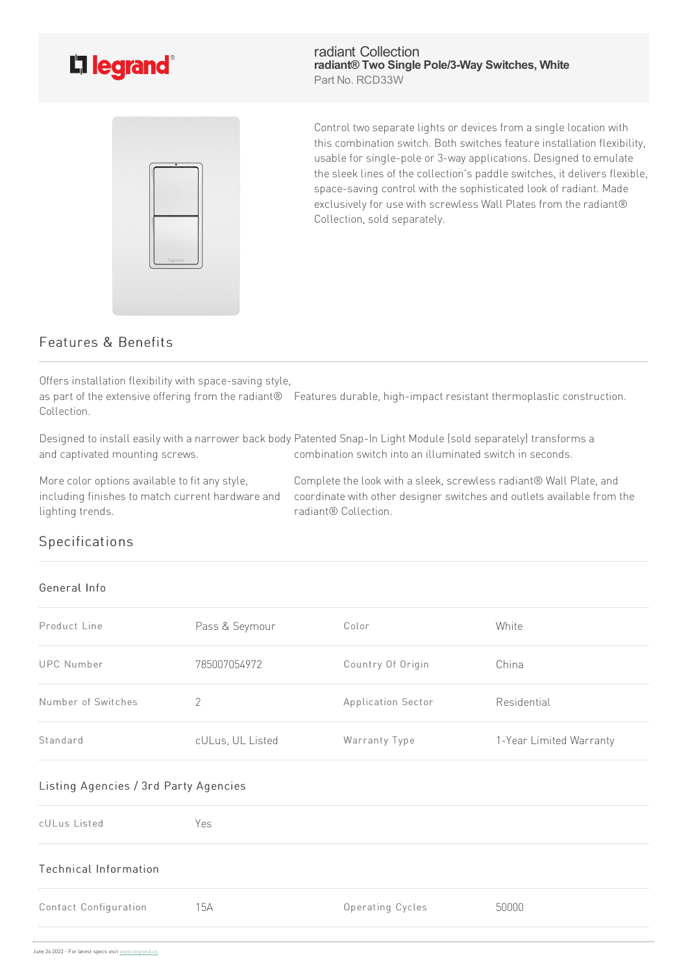

radiant Collection **radiant® Two Single Pole/3-Way Switches, White** Part No. RCD33W



Control two separate lights or devices from a single location with this combination switch. Both switches feature installation flexibility, usable for single-pole or 3-way applications. Designed to emulate the sleek lines of the collection's paddle switches, it delivers flexible, space-saving control with the sophisticated look of radiant. Made exclusively for use with screwless Wall Plates from the radiant® Collection, sold separately.

## Features & Benefits

Offers installation flexibility with space-saving style,

as part of the extensive offering from the radiant® Features durable, high-impact resistant thermoplastic construction. Collection.

Designed to install easily with a narrower back body Patented Snap-In Light Module (sold separately) transforms a and captivated mounting screws. combination switch into an illuminated switch in seconds.

More color options available to fit any style, including finishes to match current hardware and lighting trends.

Complete the look with a sleek, screwless radiant® Wall Plate, and coordinate with other designer switches and outlets available from the radiant® Collection.

## Specifications

## General Info

| Product Line       | Pass & Seymour   | Color              | White                   |
|--------------------|------------------|--------------------|-------------------------|
| UPC Number         | 785007054972     | Country Of Origin  | China                   |
| Number of Switches | 2                | Application Sector | Residential             |
| Standard           | cULus, UL Listed | Warranty Type      | 1-Year Limited Warranty |

## Listing Agencies / 3rd Party Agencies

| cULus Listed          | Yes |                  |       |
|-----------------------|-----|------------------|-------|
| Technical Information |     |                  |       |
| Contact Configuration | 15A | Operating Cycles | 50000 |